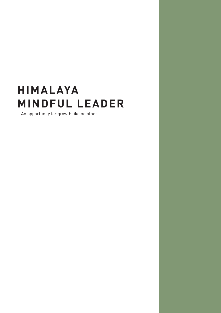## **HIMALAYA MINDFUL LEADER**

An opportunity for growth like no other.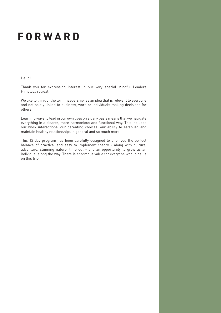#### **FORWARD**

Hello!

Thank you for expressing interest in our very special Mindful Leaders Himalaya retreat.

We like to think of the term 'leadership' as an idea that is relevant to everyone and not solely linked to business, work or individuals making decisions for others.

Learning ways to lead in our own lives on a daily basis means that we navigate everything in a clearer, more harmonious and functional way. This includes our work interactions, our parenting choices, our ability to establish and maintain healthy relationships in general and so much more.

This 12 day program has been carefully designed to offer you the perfect balance of practical and easy to implement theory - along with culture, adventure, stunning nature, time out - and an opportunity to grow as an individual along the way. There is enormous value for everyone who joins us on this trip.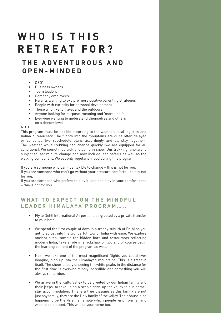### **WHO IS THIS RETREAT FOR?**

#### **T H E A D V E N T U R O U S A N D OPEN-MINDED**

- • CEO's
- • Business owners
- • Team leaders
- • Company employees
- • Parents wanting to explore more positive parenting strategies
	- • People with curiosity for personal development
	- Those who like to travel and the outdoors
	- • Anyone looking for purpose, meaning and 'more' in life
	- • Everyone wanting to understand themselves and others on a deeper level

#### NOTE:

This program must be flexible according to the weather, local logistics and Indian bureaucracy. The flights into the mountains are quite often delayed or cancelled (we reschedule plans accordingly and all stay together). The weather while trekking can change quickly (we are equipped for all conditions). We sometimes trek and camp in snow. Our trekking itinerary is subject to last minute change and may include jeep safaris as well as the walking component. We eat only vegetarian food during this program.

If you are someone who can't be flexible to change – this is not for you. If you are someone who can't go without your creature comforts – this is not for you.

If you are someone who prefers to play it safe and stay in your comfort zone – this is not for you.

#### WHAT TO EXPECT ON THE MINDFUL **LEADER HIMALAYA PROGRAM…..**

- • Fly to Dehli International Airport and be greeted by a private transfer to your hotel.
- We spend the first couple of days in a trendy suburb of Delhi so you get to adjust into the wonderful flow of India with ease. We explore ancient sites, sample the hidden bars and restaurants reflecting modern India, take a ride in a rickshaw or two and of course begin the learning content of the program as well.
- Next, we take one of the most magnificent flights you could ever imagine, high up into the Himalayan mountains. This is a treat in itself. The sheer beauty of seeing the white peaks in the distance for the first time is overwhelmingly incredible and something you will always remember.
- We arrive in the Kullu Valley to be greeted by our Indian family and their jeeps, to take us on a scenic drive up the valley to our homestay accommodation. This is a true blessing as this family are not just any family, they are the Holy family of the valley. Their house also happens to be the Krishna Temple which people visit from far and wide to be blessed. This will be your home too.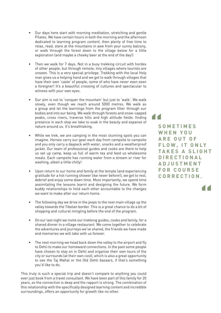- Our days here start with morning meditation, stretching and gentle Pilates. We have certain hours in both the morning and the afternoon dedicated to learning program content, then plenty of free time to relax, read, stare at the mountains in awe from your sunny balcony, or walk through the forest down to the village below for a little exploration (and maybe a cheeky beer at the end of the day!)
- Then we walk for 7 days. Not in a busy trekking circuit with hordes of other people, but through remote, tiny villages where tourists are unseen. This is a very special privilege. Trekking with the local Holy man gives us a helping hand and we get to walk through villages that have their own 'caste' of people, some of who have never even seen a foreigner! It's a beautiful crossing of cultures and spectacular to witness with your own eyes.
- Our aim is not to 'conquer the mountain' but just to 'walk'. We walk slowly, even though we reach around 5000 metres. We walk as a group and let the learnings from the program filter through our bodies and into our being. We walk through forests and snow-capped peaks, cross rivers, traverse hills and high altitude fields: finding presence in each step we take to soak in the beauty and expanse of nature around us. It's breathtaking.
- While we trek, we are camping in the most stunning spots you can imagine. Horses carry our gear each day from campsite to campsite and you only carry a daypack with water, snacks and a weatherproof jacket. Our team of professional guides and cooks are there to help us set up camp, keep us full of warm tea and feed us wholesome meals. Each campsite has running water from a stream or river for washing, albeit a little chilly!
- Upon return to our home and family at the temple (and experiencing gratitude for a hot running shower like never before!), we get to rest, debrief and enjoy some down time. Most importantly, we spend time assimilating the lessons learnt and designing the future. We form buddy relationships to hold each other accountable to the changes we want to make after our return home.
- The following day we drive in the jeeps to the next main village up the valley towards the Tibetan border. This is a great chance to do a bit of shopping and cultural mingling before the end of the program.
- On our last night we invite our trekking guides, cooks and family, for a shared dinner in a village restaurant. We come together to celebrate the adventures and journeys we've shared, the friends we have made and memories we will take with us forever.
- The next morning we head back down the valley to the airport and fly to Dehli to make our homeward connections. In the past some people have chosen to stay on in Dehli and organise their own tours of the city or surrounds (at their own cost), which is also a great opportunity to see the Taj Mahal or the Old Dehli bazaars, if that's something you'd like to do.

This truly is such a special trip and doesn't compare to anything you could ever just book from a travel consultant. We have been part of this family for 20 years, so the connection is deep and the rapport is strong. The combination of this relationship with the specifically designed learning content and incredible surroundings, offers an opportunity for growth like no other.

**" S O M E T I M E S W H E N Y O U A R E O U T O F FLOW. IT ONLY TAKES A SLIGHT D I R E C T I O N A L A D J U S T M E N T F O R C O U R S E C O R R E C T I O N .** 

**"**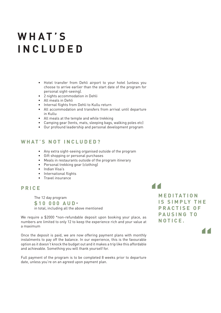### **WHAT'S INCLUDED**

- Hotel transfer from Dehli airport to your hotel (unless you choose to arrive earlier than the start date of the program for personal sight-seeing).
- • 2 nights accommodation in Dehli
- • All meals in Dehli
	- • Internal flights from Dehli to Kullu return
	- All accommodation and transfers from arrival until departure in Kullu
	- • All meals at the temple and while trekking
	- • Camping gear (tents, mats, sleeping bags, walking poles etc)
	- • Our profound leadership and personal development program

#### **WHAT'S NOT INCLUDED?**

- • Any extra sight-seeing organised outside of the program
- • Gift shopping or personal purchases
- • Meals in restaurants outside of the program itinerary
- • Personal trekking gear (clothing)
- • Indian Visa's
- • International flights
- • Travel insurance

#### **PRICE**

 The 12 day program

**\$10 000 AUD** \*

 in total, including all the above mentioned

We require a \$2000 \*non-refundable deposit upon booking your place, as numbers are limited to only 12 to keep the experience rich and your value at a maximum

Once the deposit is paid, we are now offering payment plans with monthly instalments to pay off the balance. In our experience, this is the favourable option as it doesn't knock the budget out and it makes a trip like this affordable and achievable. Something you will thank yourself for.

Full payment of the program is to be completed 8 weeks prior to departure date, unless you're on an agreed upon payment plan.

# **11**<br> **M**<br>
IS<br>
D

**M E D I T A T I O N IS SIMPLY THE P R A C T I S E O F P A U S I N G T O NOTICE.**

**"**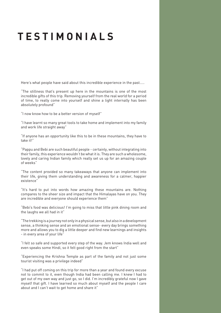### **TESTIMONIALS**

Here's what people have said about this incredible experience in the past…..

"The stillness that's present up here in the mountains is one of the most incredible gifts of this trip. Removing yourself from the real world for a period of time, to really come into yourself and shine a light internally has been absolutely profound"

"I now know how to be a better version of myself"

"I have learnt so many great tools to take home and implement into my family and work life straight away"

"If anyone has an opportunity like this to be in these mountains, they have to take it!"

"Pappu and Bebi are such beautiful people - certainly, without integrating into their family, this experience wouldn't be what it is. They are such a wholesome, lovely and caring Indian family which really set us up for an amazing couple of weeks"

"The content provided so many takeaways that anyone can implement into their life, giving them understanding and awareness for a calmer, happier existence"

"It's hard to put into words how amazing these mountains are. Nothing compares to the sheer size and impact that the Himalayas have on you. They are incredible and everyone should experience them"

"Bebi's food was delicious! I'm going to miss that little pink dining room and the laughs we all had in it"

"The trekking is a journey not only in a physical sense, but also in a development sense, a thinking sense and an emotional sense- every day brings something more and allows you to dig a little deeper and find new learnings and insights - in every area of your life"

"I felt so safe and supported every step of the way. Jem knows India well and even speaks some Hindi, so it felt good right from the start"

"Experiencing the Krishna Temple as part of the family and not just some tourist visiting was a privilege indeed"

"I had put off coming on this trip for more than a year and found every excuse not to commit to it, even though India had been calling me. I knew I had to get out of my own way and just go, so I did. I'm incredibly grateful now I gave myself that gift. I have learned so much about myself and the people I care about and I can't wait to get home and share it"